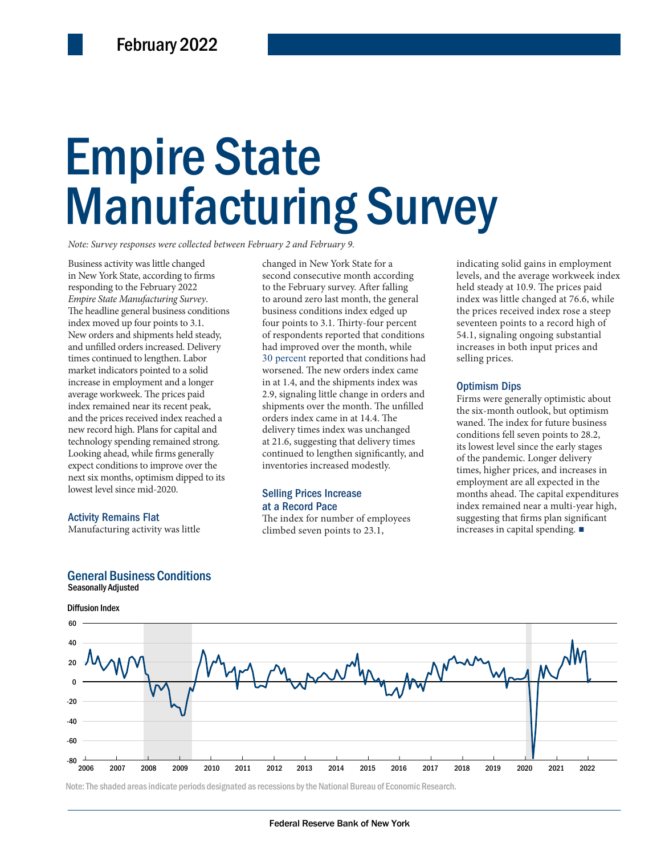# Empire State Empire State Manufacturing Survey Manufacturing Survey

*Note: Survey responses were collected between February 2 and February 9.*

Business activity was little changed in New York State, according to firms responding to the February 2022 *Empire State Manufacturing Survey*. The headline general business conditions index moved up four points to 3.1. New orders and shipments held steady, and unfilled orders increased. Delivery times continued to lengthen. Labor market indicators pointed to a solid increase in employment and a longer average workweek. The prices paid index remained near its recent peak, and the prices received index reached a new record high. Plans for capital and technology spending remained strong. Looking ahead, while firms generally expect conditions to improve over the next six months, optimism dipped to its lowest level since mid-2020.

#### Activity Remains Flat

Seasonally Adjusted

Manufacturing activity was little

the six-month<br>
ived index reached a<br>
lans for capital and<br>
11 delivery times index was unchanged<br>
121.6, suggesting that delivery times<br>
tis lowest level<br>
is conditions fell<br>
its lowest level<br>
its lowest level<br>
its lowest changed in New York State for a second consecutive month according to the February survey. After falling to around zero last month, the general business conditions index edged up four points to 3.1. Thirty-four percent of respondents reported that conditions had improved over the month, while 30 percent reported that conditions had worsened. The new orders index came in at 1.4, and the shipments index was 2.9, signaling little change in orders and shipments over the month. The unfilled orders index came in at 14.4. The delivery times index was unchanged at 21.6, suggesting that delivery times continued to lengthen significantly, and inventories increased modestly.

#### Selling Prices Increase at a Record Pace

The index for number of employees climbed seven points to 23.1,

indicating solid gains in employment levels, and the average workweek index held steady at 10.9. The prices paid index was little changed at 76.6, while the prices received index rose a steep seventeen points to a record high of 54.1, signaling ongoing substantial increases in both input prices and selling prices.

#### Optimism Dips

Firms were generally optimistic about the six-month outlook, but optimism waned. The index for future business conditions fell seven points to 28.2, its lowest level since the early stages of the pandemic. Longer delivery times, higher prices, and increases in employment are all expected in the months ahead. The capital expenditures index remained near a multi-year high, suggesting that firms plan significant increases in capital spending. ■



Note: The shaded areas indicate periods designated as recessions by the National Bureau of Economic Research.

#### General Business Conditions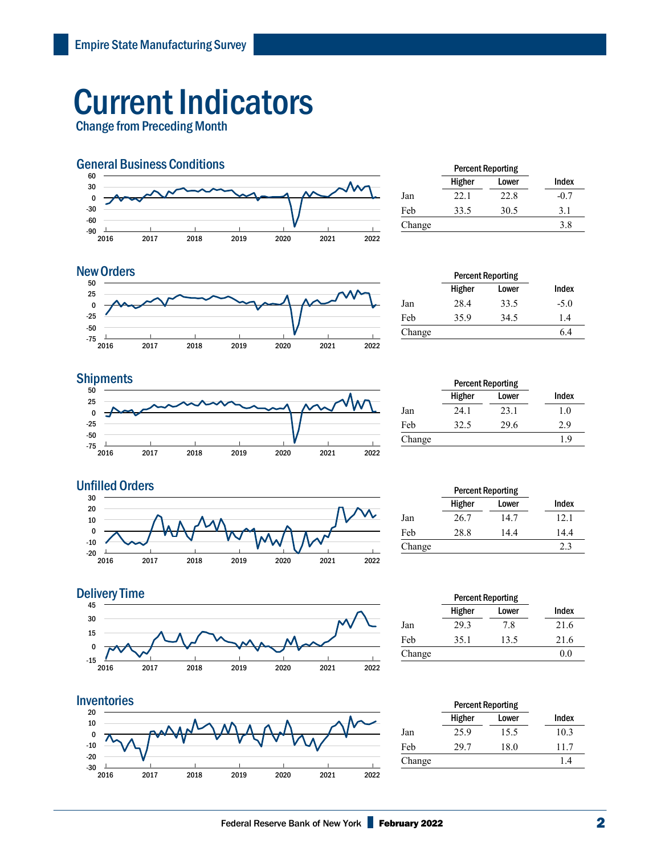## Current Indicators

Change from Preceding Month



|        | <b>Percent Reporting</b> |       |        |  |
|--------|--------------------------|-------|--------|--|
|        | Higher                   | Lower | Index  |  |
| Jan    | 22.1                     | 22.8  | $-0.7$ |  |
| Feb    | 33.5                     | 30.5  | 3.1    |  |
| Change |                          |       | 3.8    |  |
|        |                          |       |        |  |

#### **New Orders**



|        | <b>Percent Reporting</b> |        |        |
|--------|--------------------------|--------|--------|
| Index  | Lower                    | Higher |        |
| $-5.0$ | 33.5                     | 28.4   | Jan    |
| 1.4    | 34.5                     | 35.9   | Feb    |
| 6.4    |                          |        |        |
|        |                          |        | Change |

#### **Shipments**



|        | <b>Percent Reporting</b> |       |       |  |
|--------|--------------------------|-------|-------|--|
|        | Higher                   | Lower | Index |  |
| Jan    | 24.1                     | 23.1  | 1.0   |  |
| Feb    | 32.5                     | 29.6  | 2.9   |  |
| Change |                          |       | 1.9   |  |



|        | <b>Percent Reporting</b> |       |       |  |
|--------|--------------------------|-------|-------|--|
|        | Higher                   | Lower | Index |  |
| Jan    | 26.7                     | 14.7  | 12.1  |  |
| Feb    | 28.8                     | 14.4  | 14.4  |  |
| Change |                          |       | 2.3   |  |
|        |                          |       |       |  |





|        | <b>Percent Reporting</b> |       |       |
|--------|--------------------------|-------|-------|
|        | Higher                   | Lower | Index |
| Jan    | 29.3                     | 7.8   | 21.6  |
| Feb    | 35.1                     | 13.5  | 21.6  |
| Change |                          |       | 0.0   |
|        |                          |       |       |

|        | <b>Percent Reporting</b> |       |       |  |
|--------|--------------------------|-------|-------|--|
|        | Higher                   | Lower | Index |  |
| Jan    | 25.9                     | 15.5  | 10.3  |  |
| Feb    | 29.7                     | 18.0  | 11.7  |  |
| Change |                          |       | 14    |  |
|        |                          |       |       |  |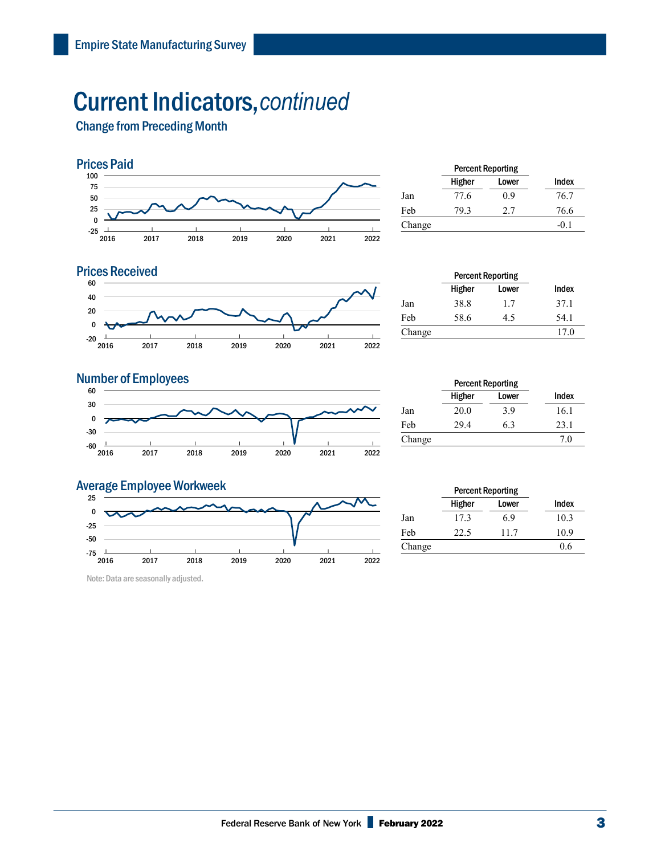### Current Indicators,*continued*

Change from Preceding Month



|        | <b>Percent Reporting</b> |       |        |  |
|--------|--------------------------|-------|--------|--|
|        | Higher                   | Lower | Index  |  |
| Jan    | 77.6                     | 0.9   | 76.7   |  |
| Feb    | 79.3                     | 2.7   | 76.6   |  |
| Change |                          |       | $-0.1$ |  |
|        |                          |       |        |  |

#### 60 **Prices Received**



|        | <b>Percent Reporting</b> |       |       |  |
|--------|--------------------------|-------|-------|--|
|        | Higher                   | Lower | Index |  |
| Jan    | 38.8                     | 1.7   | 37.1  |  |
| Feb    | 58.6                     | 4.5   | 54.1  |  |
| Change |                          |       | 17.0  |  |

#### **Number of Employees**



|        | <b>Percent Reporting</b> |       |       |
|--------|--------------------------|-------|-------|
|        | Higher                   | Lower | Index |
| Jan    | 20.0                     | 3.9   | 16.1  |
| Feb    | 29.4                     | 6.3   | 23.1  |
| Change |                          |       | 7.0   |

#### $-75$   $+2016$ | 2017 | 2018 | 2019 | 2020 | 2021 | 2022 | -75 -50 -25  $\pmb{0}$  25 Average Employee Workweek

Note: Data are seasonally adjusted.

|        |        | <b>Percent Reporting</b> |       |
|--------|--------|--------------------------|-------|
|        | Higher | Lower                    | Index |
| Jan    | 17.3   | 6.9                      | 10.3  |
| Feb    | 22.5   | 11.7                     | 10.9  |
| Change |        |                          | 0.6   |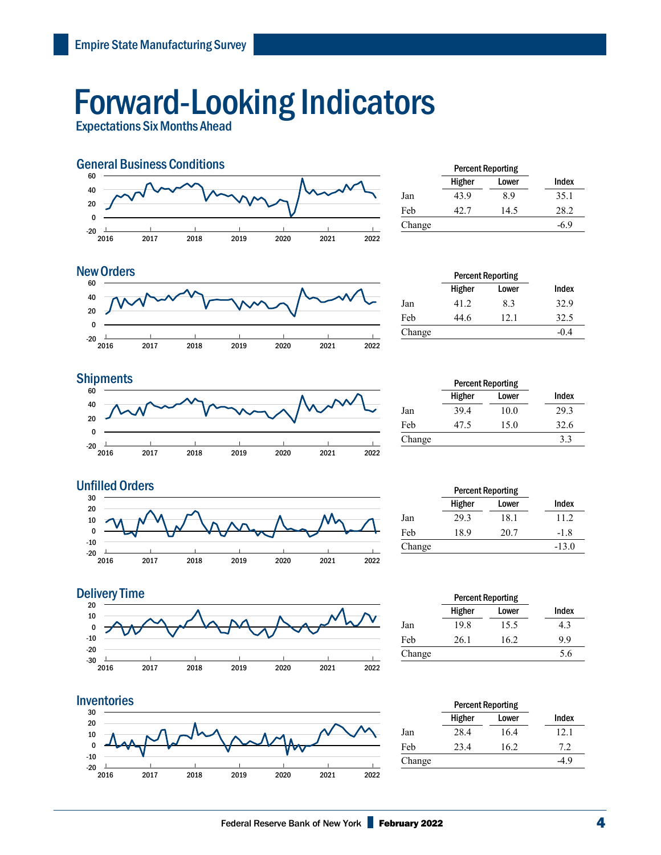## Forward-Looking Indicators

Expectations Six Months Ahead



|        | <b>Percent Reporting</b> |       |        |  |
|--------|--------------------------|-------|--------|--|
|        | Higher                   | Lower | Index  |  |
| Jan    | 43.9                     | 8.9   | 35.1   |  |
| Feb    | 42.7                     | 14.5  | 28.2   |  |
| Change |                          |       | $-6.9$ |  |
|        |                          |       |        |  |



| <b>New Orders</b> |        |        | <b>Percent Reporting</b> |        |
|-------------------|--------|--------|--------------------------|--------|
| 60                |        | Higher | Lower                    | Index  |
| 40                | Jan    | 41.2   | 8.3                      | 32.9   |
| 20                | Feb    | 44.6   | 12.1                     | 32.5   |
| $-20$             | Change |        |                          | $-0.4$ |

#### $-20$   $+2016$ | 2017 | 2018 | 2019 | 2020 | 2021 | 2022 | -20 0 20 40 60 **Shipments** Percent Reporting

|        | <b>Percent Reporting</b> |       |       |
|--------|--------------------------|-------|-------|
|        | Higher                   | Lower | Index |
| Jan    | 39.4                     | 10.0  | 29.3  |
| Feb    | 47.5                     | 15.0  | 32.6  |
| Change |                          |       | 3.3   |









|        | <b>Percent Reporting</b> |       |       |
|--------|--------------------------|-------|-------|
|        | Higher                   | Lower | Index |
| Jan    | 19.8                     | 15.5  | 4.3   |
| Feb    | 26.1                     | 16.2  | 9.9   |
| Change |                          |       | 5.6   |
|        |                          |       |       |

|        | <b>Percent Reporting</b> |       |        |
|--------|--------------------------|-------|--------|
|        | Higher                   | Lower | Index  |
| Jan    | 28.4                     | 16.4  | 12.1   |
| Feb    | 23.4                     | 16.2  | 7.2    |
| Change |                          |       | $-4.9$ |
|        |                          |       |        |